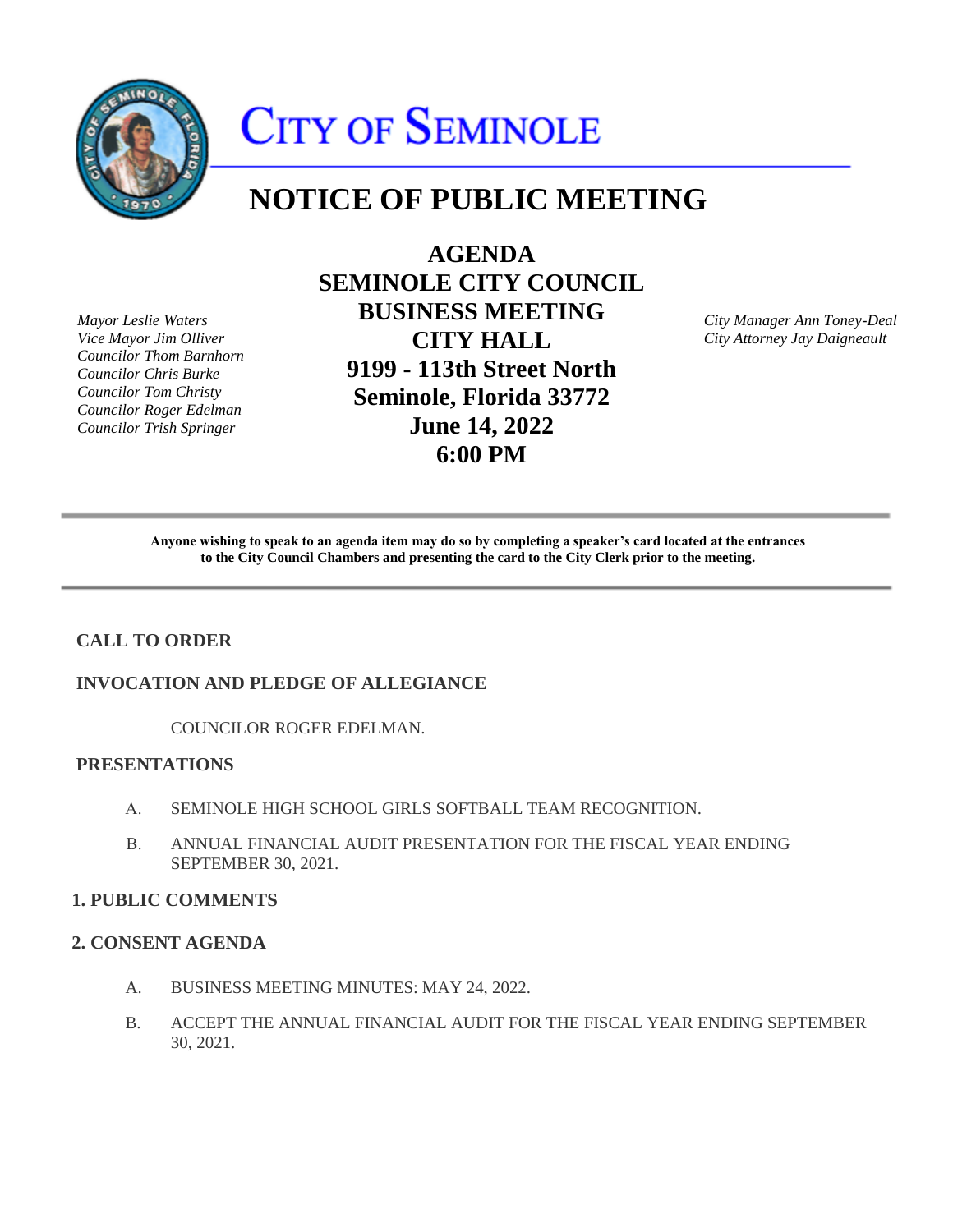

# CITY OF SEMINOLE

# **NOTICE OF PUBLIC MEETING**

*Mayor Leslie Waters Vice Mayor Jim Olliver Councilor Thom Barnhorn Councilor Chris Burke Councilor Tom Christy Councilor Roger Edelman Councilor Trish Springer* 

**AGENDA SEMINOLE CITY COUNCIL BUSINESS MEETING CITY HALL 9199 - 113th Street North Seminole, Florida 33772 June 14, 2022 6:00 PM** 

*City Manager Ann Toney-Deal City Attorney Jay Daigneault* 

Anyone wishing to speak to an agenda item may do so by completing a speaker's card located at the entrances **to the City Council Chambers and presenting the card to the City Clerk prior to the meeting.** 

# **CALL TO ORDER**

#### **INVOCATION AND PLEDGE OF ALLEGIANCE**

COUNCILOR ROGER EDELMAN.

# **PRESENTATIONS**

- A. SEMINOLE HIGH SCHOOL GIRLS SOFTBALL TEAM RECOGNITION.
- B. ANNUAL FINANCIAL AUDIT PRESENTATION FOR THE FISCAL YEAR ENDING SEPTEMBER 30, 2021.

#### **1. PUBLIC COMMENTS**

#### **2. CONSENT AGENDA**

- A. BUSINESS MEETING MINUTES: MAY 24, 2022.
- B. ACCEPT THE ANNUAL FINANCIAL AUDIT FOR THE FISCAL YEAR ENDING SEPTEMBER 30, 2021.